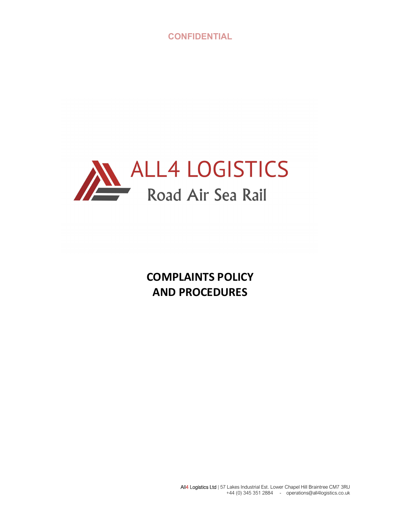

COMPLAINTS POLICY AND PROCEDURES

> All4 Logistics Ltd | 57 Lakes Industrial Est. Lower Chapel Hill Braintree CM7 3RU +44 (0) 345 351 2884 - operations@all4logistics.co.uk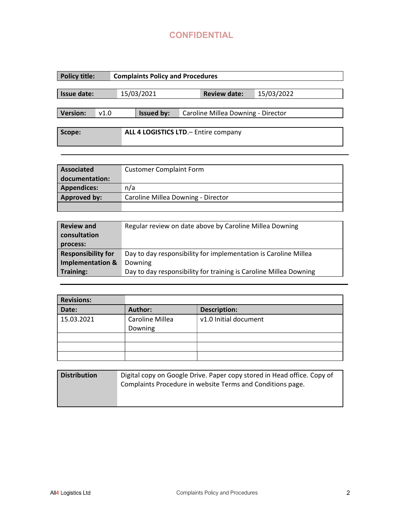| <b>Policy title:</b>                            | <b>Complaints Policy and Procedures</b>                         |  |            |  |                     |            |  |  |
|-------------------------------------------------|-----------------------------------------------------------------|--|------------|--|---------------------|------------|--|--|
| <b>Issue date:</b>                              |                                                                 |  | 15/03/2021 |  | <b>Review date:</b> | 15/03/2022 |  |  |
| <b>Version:</b>                                 | <b>Issued by:</b><br>v1.0<br>Caroline Millea Downing - Director |  |            |  |                     |            |  |  |
| ALL 4 LOGISTICS LTD. - Entire company<br>Scope: |                                                                 |  |            |  |                     |            |  |  |

| <b>Associated</b>  | <b>Customer Complaint Form</b>     |  |  |  |  |
|--------------------|------------------------------------|--|--|--|--|
| documentation:     |                                    |  |  |  |  |
| <b>Appendices:</b> | n/a                                |  |  |  |  |
| Approved by:       | Caroline Millea Downing - Director |  |  |  |  |
|                    |                                    |  |  |  |  |

| <b>Review and</b><br>consultation<br>process: | Regular review on date above by Caroline Millea Downing           |
|-----------------------------------------------|-------------------------------------------------------------------|
| <b>Responsibility for</b>                     | Day to day responsibility for implementation is Caroline Millea   |
| <b>Implementation &amp;</b>                   | Downing                                                           |
| <b>Training:</b>                              | Day to day responsibility for training is Caroline Millea Downing |

| <b>Revisions:</b> |                            |                       |
|-------------------|----------------------------|-----------------------|
| Date:             | Author:                    | <b>Description:</b>   |
| 15.03.2021        | Caroline Millea<br>Downing | v1.0 Initial document |
|                   |                            |                       |
|                   |                            |                       |
|                   |                            |                       |

| <b>Distribution</b> | Digital copy on Google Drive. Paper copy stored in Head office. Copy of |  |  |  |  |  |  |
|---------------------|-------------------------------------------------------------------------|--|--|--|--|--|--|
|                     | Complaints Procedure in website Terms and Conditions page.              |  |  |  |  |  |  |
|                     |                                                                         |  |  |  |  |  |  |
|                     |                                                                         |  |  |  |  |  |  |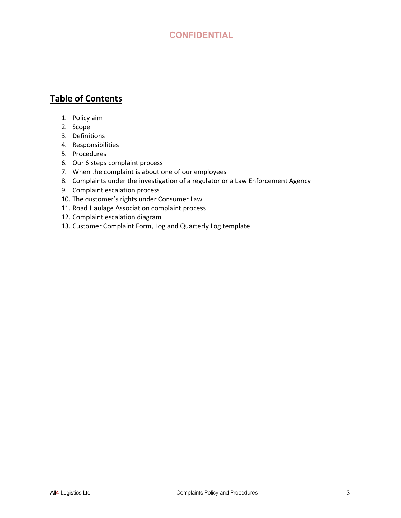# Table of Contents

- 1. Policy aim
- 2. Scope
- 3. Definitions
- 4. Responsibilities
- 5. Procedures
- 6. Our 6 steps complaint process
- 7. When the complaint is about one of our employees
- 8. Complaints under the investigation of a regulator or a Law Enforcement Agency
- 9. Complaint escalation process
- 10. The customer's rights under Consumer Law
- 11. Road Haulage Association complaint process
- 12. Complaint escalation diagram
- 13. Customer Complaint Form, Log and Quarterly Log template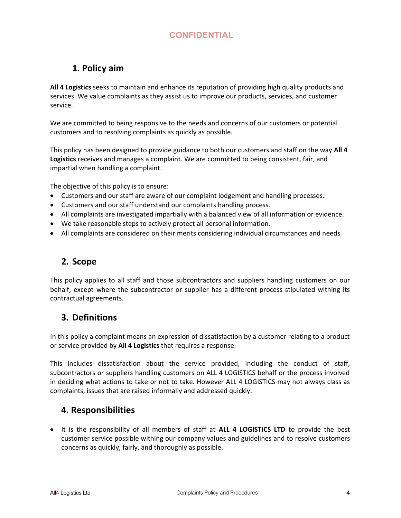# 1. Policy aim

All 4 Logistics seeks to maintain and enhance its reputation of providing high quality products and services. We value complaints as they assist us to improve our products, services, and customer service.

We are committed to being responsive to the needs and concerns of our customers or potential customers and to resolving complaints as quickly as possible.

This policy has been designed to provide guidance to both our customers and staff on the way All 4 Logistics receives and manages a complaint. We are committed to being consistent, fair, and impartial when handling a complaint.

The objective of this policy is to ensure:

- Customers and our staff are aware of our complaint lodgement and handling processes.
- Customers and our staff understand our complaints handling process.
- All complaints are investigated impartially with a balanced view of all information or evidence.
- We take reasonable steps to actively protect all personal information.
- All complaints are considered on their merits considering individual circumstances and needs.

## 2. Scope

This policy applies to all staff and those subcontractors and suppliers handling customers on our behalf, except where the subcontractor or supplier has a different process stipulated withing its contractual agreements.

## 3. Definitions

In this policy a complaint means an expression of dissatisfaction by a customer relating to a product or service provided by All 4 Logistics that requires a response.

This includes dissatisfaction about the service provided, including the conduct of staff, subcontractors or suppliers handling customers on ALL 4 LOGISTICS behalf or the process involved in deciding what actions to take or not to take. However ALL 4 LOGISTICS may not always class as complaints, issues that are raised informally and addressed quickly.

### 4. Responsibilities

• It is the responsibility of all members of staff at ALL 4 LOGISTICS LTD to provide the best customer service possible withing our company values and guidelines and to resolve customers concerns as quickly, fairly, and thoroughly as possible.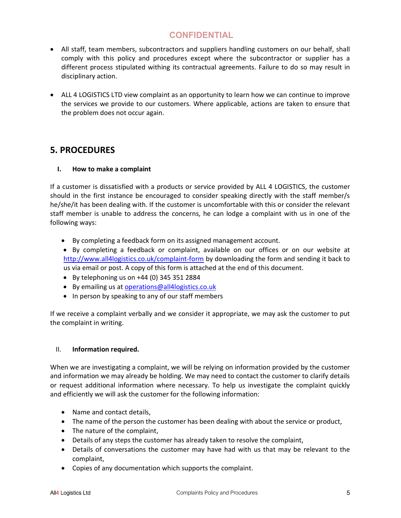- All staff, team members, subcontractors and suppliers handling customers on our behalf, shall comply with this policy and procedures except where the subcontractor or supplier has a different process stipulated withing its contractual agreements. Failure to do so may result in disciplinary action.
- ALL 4 LOGISTICS LTD view complaint as an opportunity to learn how we can continue to improve the services we provide to our customers. Where applicable, actions are taken to ensure that the problem does not occur again.

### 5. PROCEDURES

#### I. How to make a complaint

If a customer is dissatisfied with a products or service provided by ALL 4 LOGISTICS, the customer should in the first instance be encouraged to consider speaking directly with the staff member/s he/she/it has been dealing with. If the customer is uncomfortable with this or consider the relevant staff member is unable to address the concerns, he can lodge a complaint with us in one of the following ways:

- By completing a feedback form on its assigned management account.
- By completing a feedback or complaint, available on our offices or on our website at http://www.all4logistics.co.uk/complaint-form by downloading the form and sending it back to us via email or post. A copy of this form is attached at the end of this document.
- $\bullet$  By telephoning us on +44 (0) 345 351 2884
- By emailing us at operations@all4logistics.co.uk
- In person by speaking to any of our staff members

If we receive a complaint verbally and we consider it appropriate, we may ask the customer to put the complaint in writing.

#### II. Information required.

When we are investigating a complaint, we will be relying on information provided by the customer and information we may already be holding. We may need to contact the customer to clarify details or request additional information where necessary. To help us investigate the complaint quickly and efficiently we will ask the customer for the following information:

- Name and contact details,
- The name of the person the customer has been dealing with about the service or product,
- The nature of the complaint,
- Details of any steps the customer has already taken to resolve the complaint,
- Details of conversations the customer may have had with us that may be relevant to the complaint,
- Copies of any documentation which supports the complaint.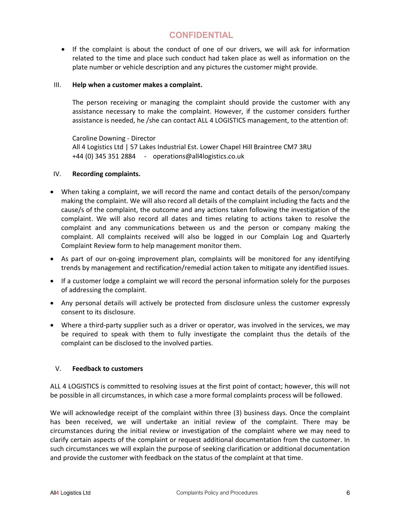• If the complaint is about the conduct of one of our drivers, we will ask for information related to the time and place such conduct had taken place as well as information on the plate number or vehicle description and any pictures the customer might provide.

#### III. Help when a customer makes a complaint.

The person receiving or managing the complaint should provide the customer with any assistance necessary to make the complaint. However, if the customer considers further assistance is needed, he /she can contact ALL 4 LOGISTICS management, to the attention of:

Caroline Downing - Director All 4 Logistics Ltd | 57 Lakes Industrial Est. Lower Chapel Hill Braintree CM7 3RU +44 (0) 345 351 2884 - operations@all4logistics.co.uk

#### IV. Recording complaints.

- When taking a complaint, we will record the name and contact details of the person/company making the complaint. We will also record all details of the complaint including the facts and the cause/s of the complaint, the outcome and any actions taken following the investigation of the complaint. We will also record all dates and times relating to actions taken to resolve the complaint and any communications between us and the person or company making the complaint. All complaints received will also be logged in our Complain Log and Quarterly Complaint Review form to help management monitor them.
- As part of our on-going improvement plan, complaints will be monitored for any identifying trends by management and rectification/remedial action taken to mitigate any identified issues.
- If a customer lodge a complaint we will record the personal information solely for the purposes of addressing the complaint.
- Any personal details will actively be protected from disclosure unless the customer expressly consent to its disclosure.
- Where a third-party supplier such as a driver or operator, was involved in the services, we may be required to speak with them to fully investigate the complaint thus the details of the complaint can be disclosed to the involved parties.

#### V. Feedback to customers

ALL 4 LOGISTICS is committed to resolving issues at the first point of contact; however, this will not be possible in all circumstances, in which case a more formal complaints process will be followed.

We will acknowledge receipt of the complaint within three (3) business days. Once the complaint has been received, we will undertake an initial review of the complaint. There may be circumstances during the initial review or investigation of the complaint where we may need to clarify certain aspects of the complaint or request additional documentation from the customer. In such circumstances we will explain the purpose of seeking clarification or additional documentation and provide the customer with feedback on the status of the complaint at that time.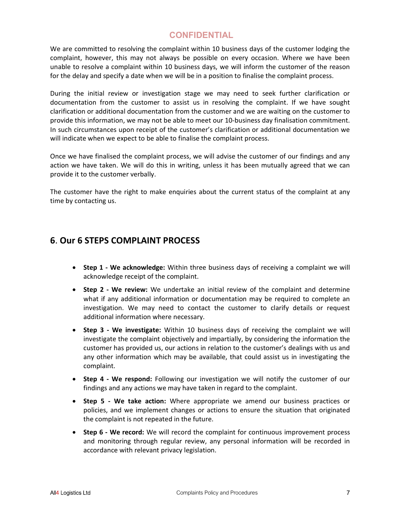We are committed to resolving the complaint within 10 business days of the customer lodging the complaint, however, this may not always be possible on every occasion. Where we have been unable to resolve a complaint within 10 business days, we will inform the customer of the reason for the delay and specify a date when we will be in a position to finalise the complaint process.

During the initial review or investigation stage we may need to seek further clarification or documentation from the customer to assist us in resolving the complaint. If we have sought clarification or additional documentation from the customer and we are waiting on the customer to provide this information, we may not be able to meet our 10-business day finalisation commitment. In such circumstances upon receipt of the customer's clarification or additional documentation we will indicate when we expect to be able to finalise the complaint process.

Once we have finalised the complaint process, we will advise the customer of our findings and any action we have taken. We will do this in writing, unless it has been mutually agreed that we can provide it to the customer verbally.

The customer have the right to make enquiries about the current status of the complaint at any time by contacting us.

### 6. Our 6 STEPS COMPLAINT PROCESS

- Step 1 We acknowledge: Within three business days of receiving a complaint we will acknowledge receipt of the complaint.
- Step 2 We review: We undertake an initial review of the complaint and determine what if any additional information or documentation may be required to complete an investigation. We may need to contact the customer to clarify details or request additional information where necessary.
- Step 3 We investigate: Within 10 business days of receiving the complaint we will investigate the complaint objectively and impartially, by considering the information the customer has provided us, our actions in relation to the customer's dealings with us and any other information which may be available, that could assist us in investigating the complaint.
- Step 4 We respond: Following our investigation we will notify the customer of our findings and any actions we may have taken in regard to the complaint.
- Step 5 We take action: Where appropriate we amend our business practices or policies, and we implement changes or actions to ensure the situation that originated the complaint is not repeated in the future.
- Step 6 We record: We will record the complaint for continuous improvement process and monitoring through regular review, any personal information will be recorded in accordance with relevant privacy legislation.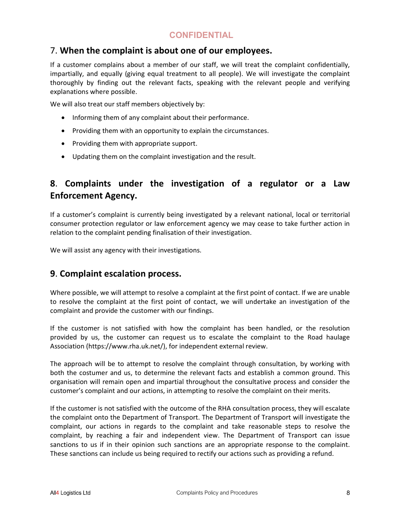### 7. When the complaint is about one of our employees.

If a customer complains about a member of our staff, we will treat the complaint confidentially, impartially, and equally (giving equal treatment to all people). We will investigate the complaint thoroughly by finding out the relevant facts, speaking with the relevant people and verifying explanations where possible.

We will also treat our staff members objectively by:

- Informing them of any complaint about their performance.
- Providing them with an opportunity to explain the circumstances.
- Providing them with appropriate support.
- Updating them on the complaint investigation and the result.

# 8. Complaints under the investigation of a regulator or a Law Enforcement Agency.

If a customer's complaint is currently being investigated by a relevant national, local or territorial consumer protection regulator or law enforcement agency we may cease to take further action in relation to the complaint pending finalisation of their investigation.

We will assist any agency with their investigations.

### 9. Complaint escalation process.

Where possible, we will attempt to resolve a complaint at the first point of contact. If we are unable to resolve the complaint at the first point of contact, we will undertake an investigation of the complaint and provide the customer with our findings.

If the customer is not satisfied with how the complaint has been handled, or the resolution provided by us, the customer can request us to escalate the complaint to the Road haulage Association (https://www.rha.uk.net/), for independent external review.

The approach will be to attempt to resolve the complaint through consultation, by working with both the costumer and us, to determine the relevant facts and establish a common ground. This organisation will remain open and impartial throughout the consultative process and consider the customer's complaint and our actions, in attempting to resolve the complaint on their merits.

If the customer is not satisfied with the outcome of the RHA consultation process, they will escalate the complaint onto the Department of Transport. The Department of Transport will investigate the complaint, our actions in regards to the complaint and take reasonable steps to resolve the complaint, by reaching a fair and independent view. The Department of Transport can issue sanctions to us if in their opinion such sanctions are an appropriate response to the complaint. These sanctions can include us being required to rectify our actions such as providing a refund.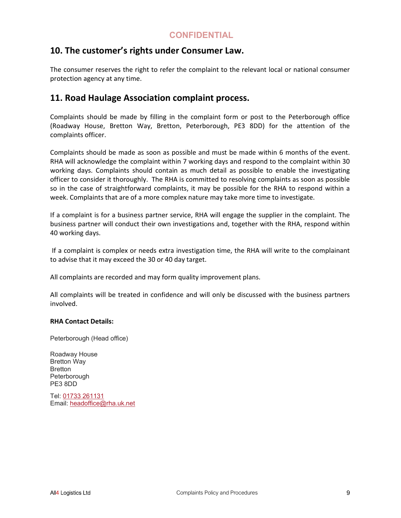### 10. The customer's rights under Consumer Law.

The consumer reserves the right to refer the complaint to the relevant local or national consumer protection agency at any time.

### 11. Road Haulage Association complaint process.

Complaints should be made by filling in the complaint form or post to the Peterborough office (Roadway House, Bretton Way, Bretton, Peterborough, PE3 8DD) for the attention of the complaints officer.

Complaints should be made as soon as possible and must be made within 6 months of the event. RHA will acknowledge the complaint within 7 working days and respond to the complaint within 30 working days. Complaints should contain as much detail as possible to enable the investigating officer to consider it thoroughly. The RHA is committed to resolving complaints as soon as possible so in the case of straightforward complaints, it may be possible for the RHA to respond within a week. Complaints that are of a more complex nature may take more time to investigate.

If a complaint is for a business partner service, RHA will engage the supplier in the complaint. The business partner will conduct their own investigations and, together with the RHA, respond within 40 working days.

 If a complaint is complex or needs extra investigation time, the RHA will write to the complainant to advise that it may exceed the 30 or 40 day target.

All complaints are recorded and may form quality improvement plans.

All complaints will be treated in confidence and will only be discussed with the business partners involved.

#### RHA Contact Details:

Peterborough (Head office)

Roadway House Bretton Way Bretton **Peterborough** PE3 8DD

Tel: 01733 261131 Email: headoffice@rha.uk.net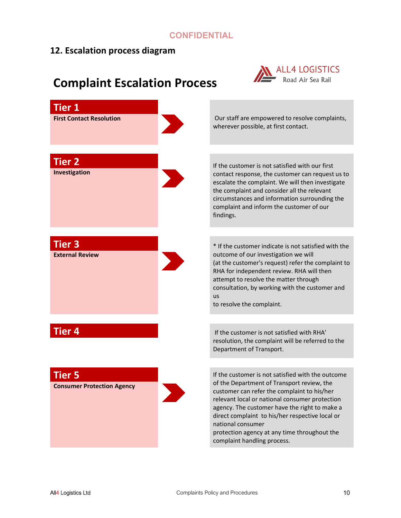## 12. Escalation process diagram

# ALL4 LOGISTICS<br>Road Air Sea Rail Tier 1 First Contact Resolution Our staff are empowered to resolve complaints, wherever possible, at first contact. **Tier 2** If the customer is not satisfied with our first Investigation contact response, the customer can request us to escalate the complaint. We will then investigate the complaint and consider all the relevant circumstances and information surrounding the complaint and inform the customer of our findings. Tier 3 \* If the customer indicate is not satisfied with the External Review outcome of our investigation we will (at the customer's request) refer the complaint to RHA for independent review. RHA will then attempt to resolve the matter through consultation, by working with the customer and us to resolve the complaint. **Tier 4** If the customer is not satisfied with RHA' resolution, the complaint will be referred to the Department of Transport. **Tier 5** If the customer is not satisfied with the outcome of the Department of Transport review, the Consumer Protection Agency customer can refer the complaint to his/her relevant local or national consumer protection agency. The customer have the right to make a direct complaint to his/her respective local or national consumer protection agency at any time throughout the complaint handling process.

# Complaint Escalation Process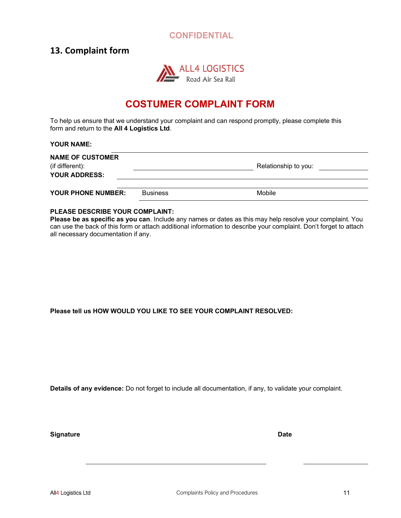### 13. Complaint form



# COSTUMER COMPLAINT FORM

To help us ensure that we understand your complaint and can respond promptly, please complete this form and return to the All 4 Logistics Ltd.

#### YOUR NAME:

| <b>NAME OF CUSTOMER</b><br>(if different):<br><b>YOUR ADDRESS:</b> |                 | Relationship to you: |  |
|--------------------------------------------------------------------|-----------------|----------------------|--|
| YOUR PHONE NUMBER:                                                 | <b>Business</b> | Mobile               |  |

#### PLEASE DESCRIBE YOUR COMPLAINT:

Please be as specific as you can. Include any names or dates as this may help resolve your complaint. You can use the back of this form or attach additional information to describe your complaint. Don't forget to attach all necessary documentation if any.

Please tell us HOW WOULD YOU LIKE TO SEE YOUR COMPLAINT RESOLVED:

Details of any evidence: Do not forget to include all documentation, if any, to validate your complaint.

Signature Date Date Communications and Date Date Date